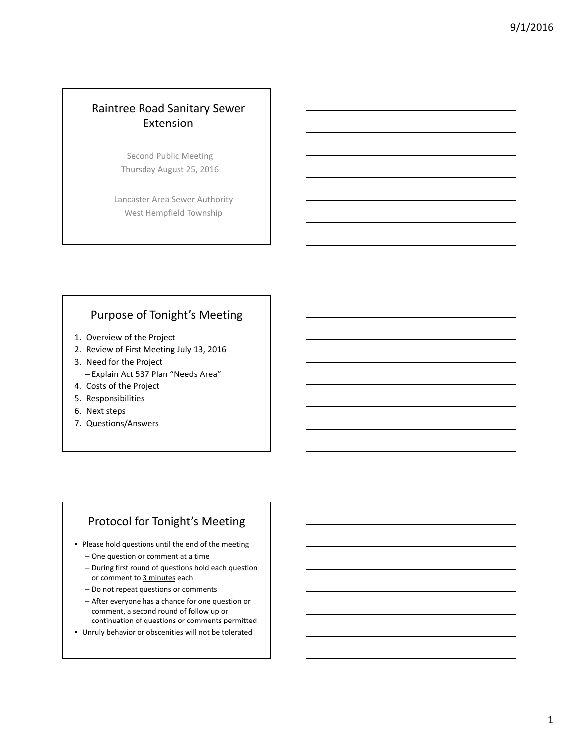# Raintree Road Sanitary Sewer Extension

Second Public Meeting Thursday August 25, 2016

Lancaster Area Sewer Authority West Hempfield Township

## Purpose of Tonight's Meeting

- 1. Overview of the Project
- 2. Review of First Meeting July 13, 2016
- 3. Need for the Project – Explain Act 537 Plan "Needs Area"
- 4. Costs of the Project
- 5. Responsibilities
- 6. Next steps
- 7. Questions/Answers

### Protocol for Tonight's Meeting

- Please hold questions until the end of the meeting
	- One question or comment at a time
	- During first round of questions hold each question or comment to 3 minutes each
	- Do not repeat questions or comments
	- After everyone has a chance for one question or comment, a second round of follow up or continuation of questions or comments permitted
- Unruly behavior or obscenities will not be tolerated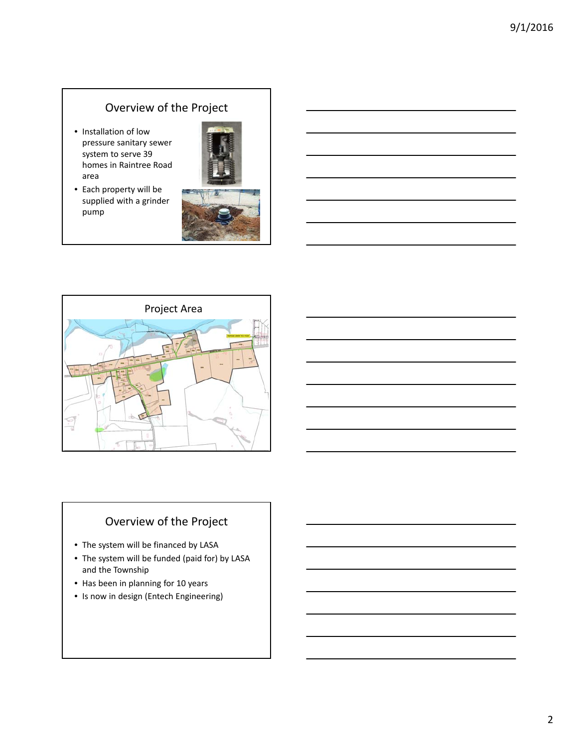# Overview of the Project

• Installation of low pressure sanitary sewer system to serve 39 homes in Raintree Road area

• Each property will be supplied with a grinder



pump



# Overview of the Project

- The system will be financed by LASA
- The system will be funded (paid for) by LASA and the Township
- Has been in planning for 10 years
- Is now in design (Entech Engineering)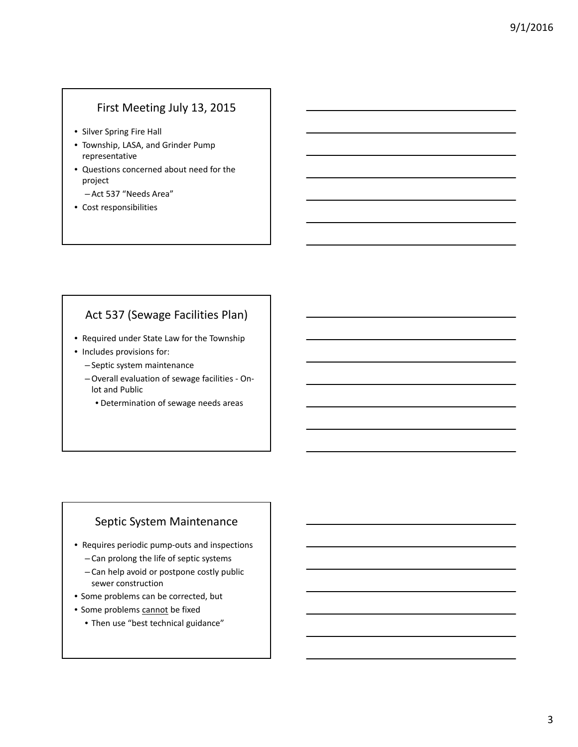# First Meeting July 13, 2015

- Silver Spring Fire Hall
- Township, LASA, and Grinder Pump representative
- Questions concerned about need for the project
	- Act 537 "Needs Area"
- Cost responsibilities

# Act 537 (Sewage Facilities Plan)

- Required under State Law for the Township
- Includes provisions for:
	- Septic system maintenance
	- –Overall evaluation of sewage facilities ‐ On‐ lot and Public
		- Determination of sewage needs areas

## Septic System Maintenance

- Requires periodic pump‐outs and inspections
	- Can prolong the life of septic systems
	- Can help avoid or postpone costly public sewer construction
- Some problems can be corrected, but
- Some problems cannot be fixed
	- Then use "best technical guidance"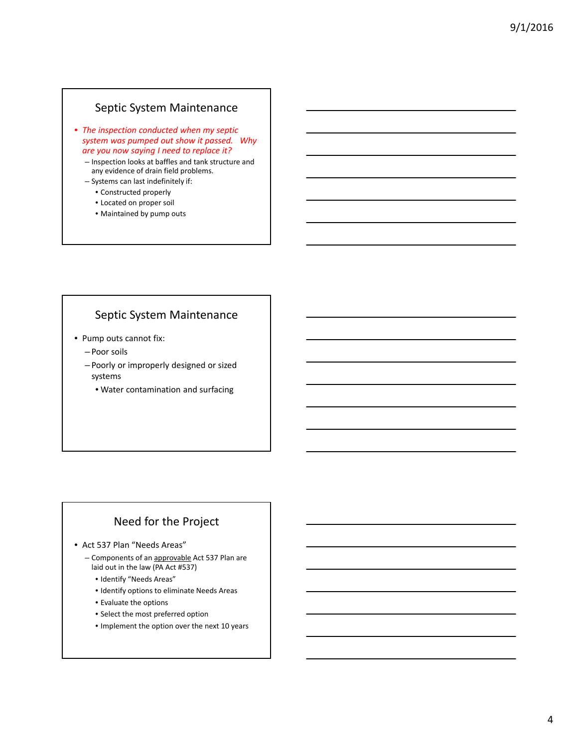### Septic System Maintenance

- *The inspection conducted when my septic system was pumped out show it passed. Why are you now saying I need to replace it?*
	- Inspection looks at baffles and tank structure and any evidence of drain field problems.
	- Systems can last indefinitely if:
		- Constructed properly
		- Located on proper soil
		- Maintained by pump outs

### Septic System Maintenance

- Pump outs cannot fix:
	- Poor soils
	- Poorly or improperly designed or sized systems
		- Water contamination and surfacing

# Need for the Project

• Act 537 Plan "Needs Areas"

- Components of an approvable Act 537 Plan are laid out in the law (PA Act #537)
	- Identify "Needs Areas"
	- Identify options to eliminate Needs Areas
	- Evaluate the options
	- Select the most preferred option
	- Implement the option over the next 10 years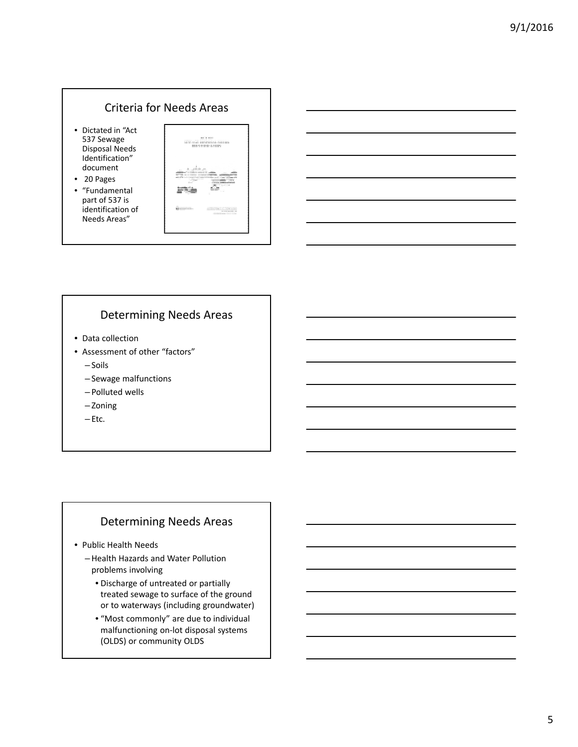### Criteria for Needs Areas

- Dictated in "Act 537 Sewage Disposal Needs Identification" document
- 20 Pages
- "Fundamental part of 537 is identification of Needs Areas"



## Determining Needs Areas

- Data collection
- Assessment of other "factors"
	- Soils
	- Sewage malfunctions
	- Polluted wells
	- Zoning
	- Etc.

### Determining Needs Areas

- Public Health Needs
	- –Health Hazards and Water Pollution problems involving
		- Discharge of untreated or partially treated sewage to surface of the ground or to waterways (including groundwater)
		- "Most commonly" are due to individual malfunctioning on‐lot disposal systems (OLDS) or community OLDS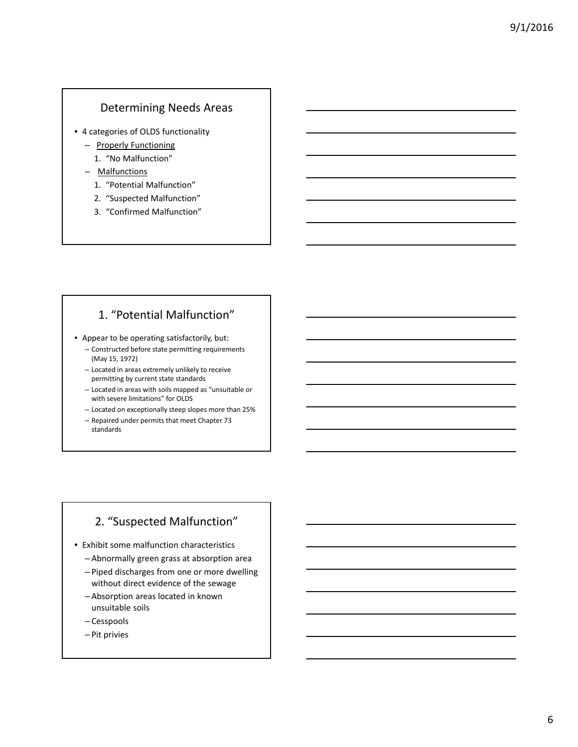### Determining Needs Areas

- 4 categories of OLDS functionality
	- Properly Functioning
		- 1. "No Malfunction"
	- Malfunctions
		- 1. "Potential Malfunction"
		- 2. "Suspected Malfunction"
		- 3. "Confirmed Malfunction"

## 1. "Potential Malfunction"

• Appear to be operating satisfactorily, but:

- Constructed before state permitting requirements (May 15, 1972)
- Located in areas extremely unlikely to receive permitting by current state standards
- Located in areas with soils mapped as "unsuitable or with severe limitations" for OLDS
- Located on exceptionally steep slopes more than 25%
- Repaired under permits that meet Chapter 73 standards

# 2. "Suspected Malfunction"

- Exhibit some malfunction characteristics
	- Abnormally green grass at absorption area
	- Piped discharges from one or more dwelling without direct evidence of the sewage
	- Absorption areas located in known unsuitable soils
	- Cesspools
	- Pit privies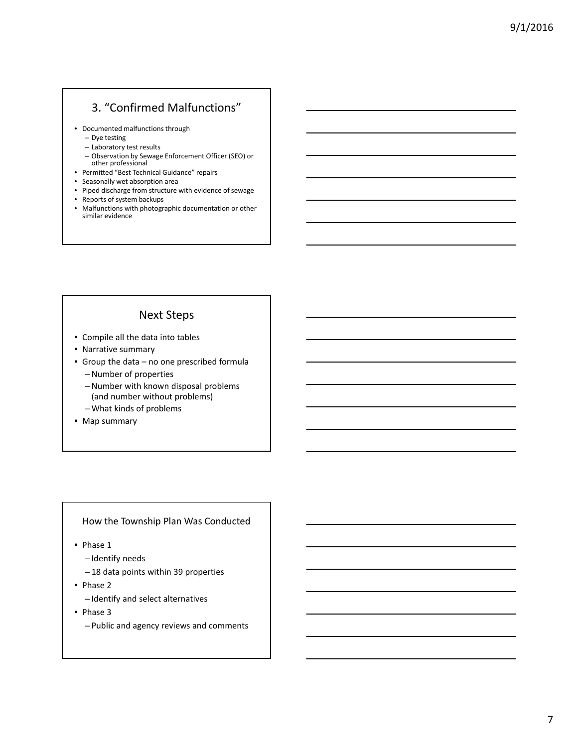# 3. "Confirmed Malfunctions"

• Documented malfunctions through

- Dye testing
- Laboratory test results
- Observation by Sewage Enforcement Officer (SEO) or other professional
- Permitted "Best Technical Guidance" repairs
- Seasonally wet absorption area
- Piped discharge from structure with evidence of sewage
- Reports of system backups
- Malfunctions with photographic documentation or other similar evidence

## Next Steps

- Compile all the data into tables
- Narrative summary
- Group the data no one prescribed formula
	- –Number of properties
	- –Number with known disposal problems (and number without problems)
	- What kinds of problems
- Map summary

#### How the Township Plan Was Conducted

• Phase 1

- Identify needs
- 18 data points within 39 properties
- Phase 2
	- Identify and select alternatives
- Phase 3
	- Public and agency reviews and comments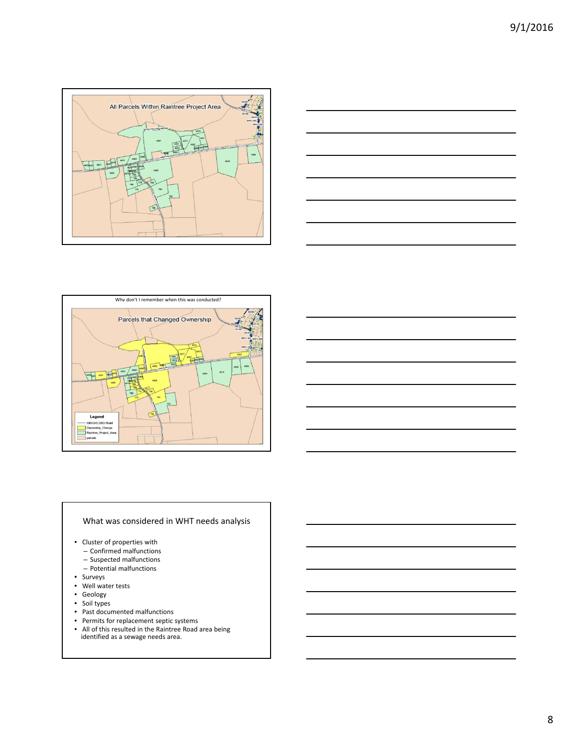





#### What was considered in WHT needs analysis

- Cluster of properties with
	- Confirmed malfunctions
	- Suspected malfunctions
	- Potential malfunctions
- Surveys
- Well water tests
- Geology
- Soil types
- Past documented malfunctions
- Permits for replacement septic systems
- All of this resulted in the Raintree Road area being identified as a sewage needs area.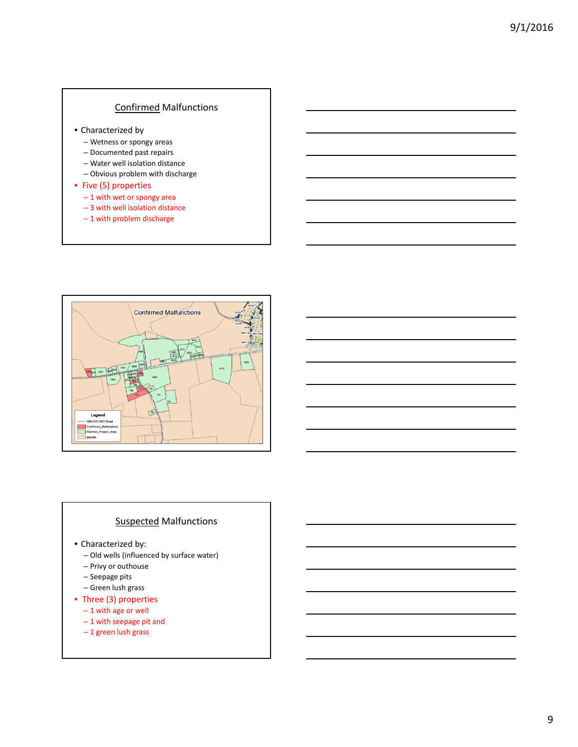#### Confirmed Malfunctions

- Characterized by
	- Wetness or spongy areas
	- Documented past repairs
	- Water well isolation distance
	- Obvious problem with discharge

### • Five (5) properties

- 1 with wet or spongy area
- 3 with well isolation distance
- 1 with problem discharge



### Suspected Malfunctions

- Characterized by:
	- Old wells (influenced by surface water)
	- Privy or outhouse
	- Seepage pits
	- Green lush grass
- Three (3) properties
	- 1 with age or well
	- 1 with seepage pit and
	- 1 green lush grass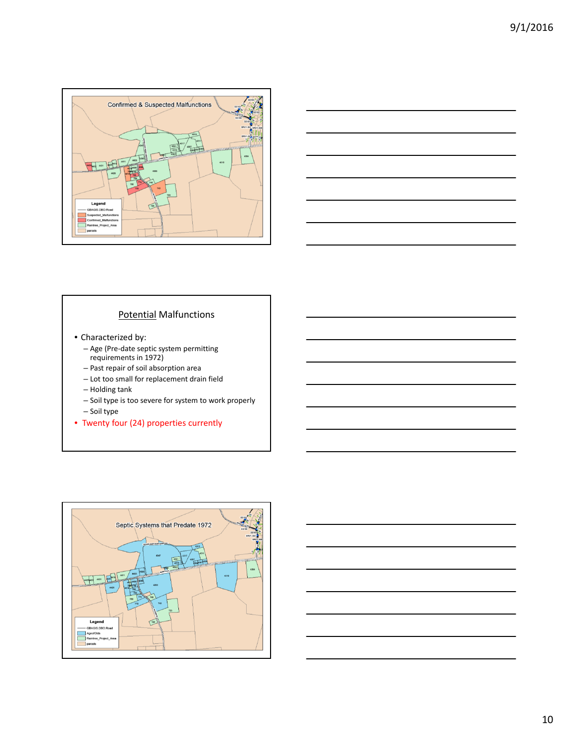



### Potential Malfunctions

- Characterized by:
	- Age (Pre‐date septic system permitting requirements in 1972)
	- Past repair of soil absorption area
	- Lot too small for replacement drain field
	- Holding tank
	- Soil type is too severe for system to work properly – Soil type
- Twenty four (24) properties currently



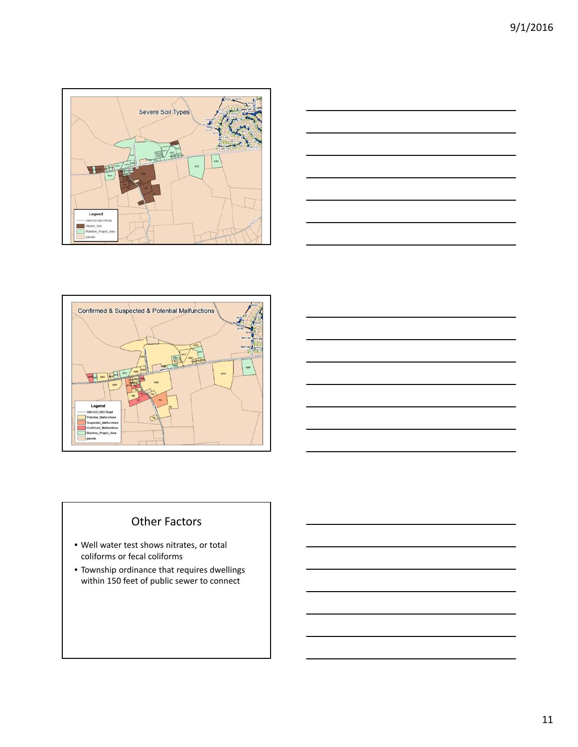





# Other Factors

- Well water test shows nitrates, or total coliforms or fecal coliforms
- Township ordinance that requires dwellings within 150 feet of public sewer to connect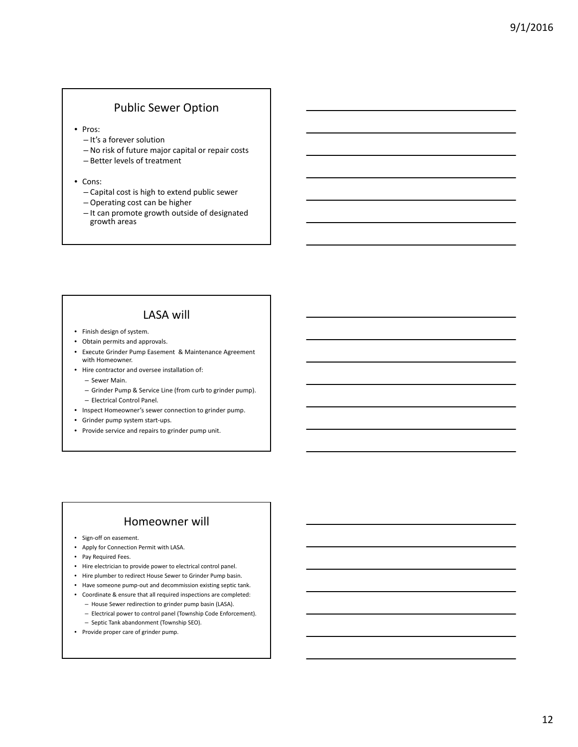## Public Sewer Option

- Pros:
	- It's a forever solution
	- No risk of future major capital or repair costs
	- Better levels of treatment
- Cons:
	- Capital cost is high to extend public sewer
	- Operating cost can be higher
	- It can promote growth outside of designated growth areas

## LASA will

- Finish design of system.
- Obtain permits and approvals.
- Execute Grinder Pump Easement & Maintenance Agreement with Homeowner.
- Hire contractor and oversee installation of:
	- Sewer Main.
	- Grinder Pump & Service Line (from curb to grinder pump).
	- Electrical Control Panel.
- Inspect Homeowner's sewer connection to grinder pump.
- Grinder pump system start‐ups.
- Provide service and repairs to grinder pump unit.

### Homeowner will

- Sign‐off on easement.
- Apply for Connection Permit with LASA.
- Pay Required Fees.
- Hire electrician to provide power to electrical control panel.
- Hire plumber to redirect House Sewer to Grinder Pump basin.
- Have someone pump‐out and decommission existing septic tank.
- Coordinate & ensure that all required inspections are completed:
	- House Sewer redirection to grinder pump basin (LASA). – Electrical power to control panel (Township Code Enforcement).
	- Septic Tank abandonment (Township SEO).
- Provide proper care of grinder pump.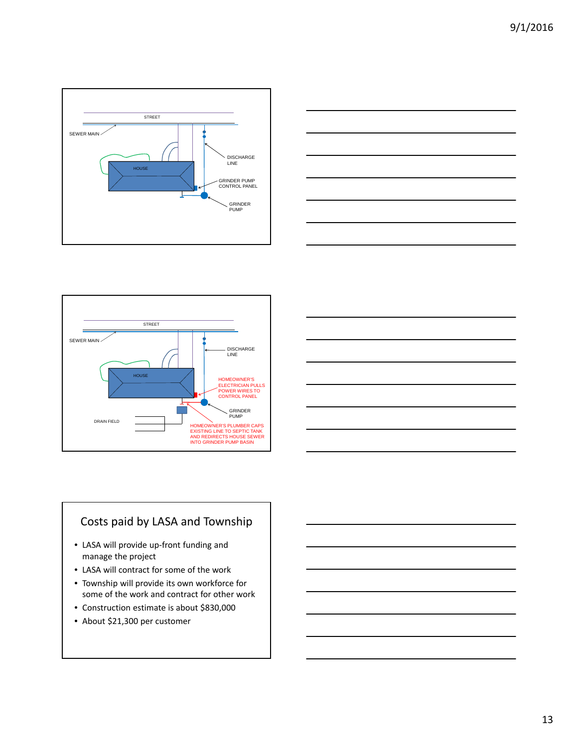







# Costs paid by LASA and Township

- LASA will provide up‐front funding and manage the project
- LASA will contract for some of the work
- Township will provide its own workforce for some of the work and contract for other work
- Construction estimate is about \$830,000
- About \$21,300 per customer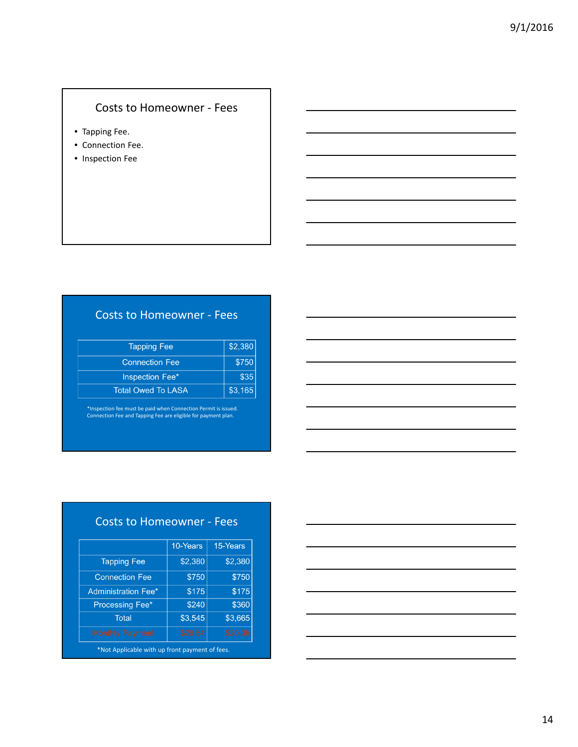# Costs to Homeowner ‐ Fees

- Tapping Fee.
- Connection Fee.
- Inspection Fee

# Costs to Homeowner ‐ Fees

| <b>Tapping Fee</b>    | \$2,380 |
|-----------------------|---------|
| <b>Connection Fee</b> | \$750   |
| Inspection Fee*       | \$35    |
| Total Owed To LASA    | \$3,165 |

\*Inspection fee must be paid when Connection Permit is issued. Connection Fee and Tapping Fee are eligible for payment plan.

| <b>Costs to Homeowner - Fees</b>               |          |          |  |
|------------------------------------------------|----------|----------|--|
|                                                | 10-Years | 15-Years |  |
| <b>Tapping Fee</b>                             | \$2,380  | \$2,380  |  |
| <b>Connection Fee</b>                          | \$750    | \$750    |  |
| <b>Administration Fee*</b>                     | \$175    | \$175    |  |
| Processing Fee*                                | \$240    | \$360    |  |
| <b>Total</b>                                   | \$3,545  | \$3,665  |  |
| <b>Monthly Payment</b>                         | \$29.54  | \$20.36  |  |
| *Not Applicable with up front payment of fees. |          |          |  |

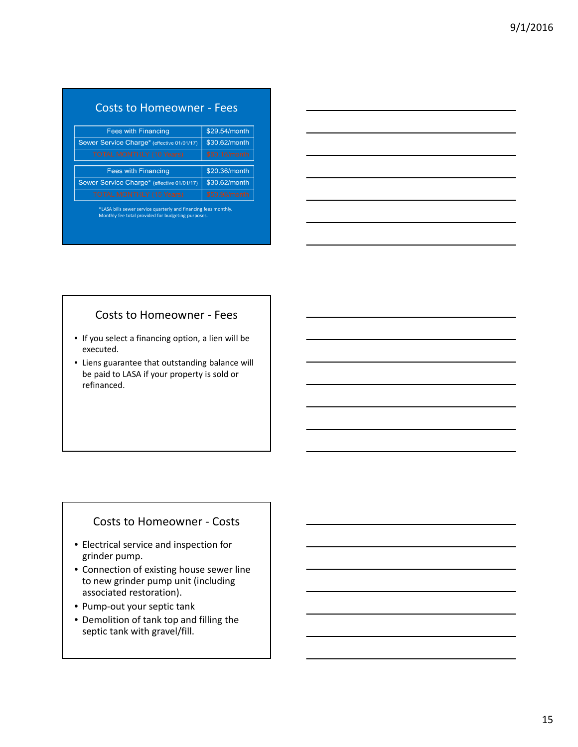| <b>Costs to Homeowner - Fees</b> |  |
|----------------------------------|--|
|                                  |  |

| \$29.54/month |
|---------------|
| \$30.62/month |
| \$60.16/month |
|               |
| \$20.36/month |
| \$30.62/month |
|               |
|               |

\*LASA bills sewer service quarterly and financing fees monthly. Monthly fee total provided for budgeting purposes.



### Costs to Homeowner ‐ Fees

- If you select a financing option, a lien will be executed.
- Liens guarantee that outstanding balance will be paid to LASA if your property is sold or refinanced.

### Costs to Homeowner ‐ Costs

- Electrical service and inspection for grinder pump.
- Connection of existing house sewer line to new grinder pump unit (including associated restoration).
- Pump‐out your septic tank
- Demolition of tank top and filling the septic tank with gravel/fill.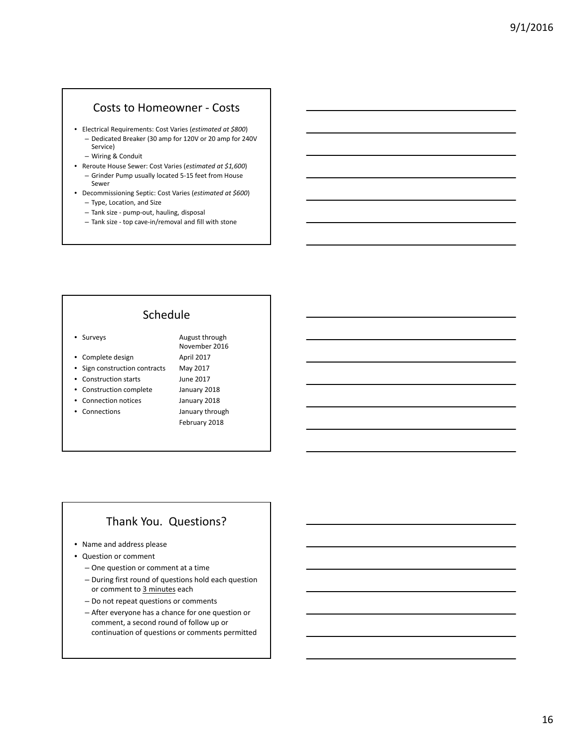### Costs to Homeowner ‐ Costs

- Electrical Requirements: Cost Varies (*estimated at \$800*) – Dedicated Breaker (30 amp for 120V or 20 amp for 240V Service)
	- Wiring & Conduit
- Reroute House Sewer: Cost Varies (*estimated at \$1,600*)
	- Grinder Pump usually located 5‐15 feet from House Sewer
- Decommissioning Septic: Cost Varies (*estimated at \$600*) – Type, Location, and Size
	- Tank size ‐ pump‐out, hauling, disposal
	- Tank size ‐ top cave‐in/removal and fill with stone

### Schedule

- Surveys **August through**
- Complete design April 2017
- Sign construction contracts May 2017
- Construction starts June 2017
- Construction complete January 2018
- Connection notices January 2018
- 
- Connections January through February 2018

November 2016

### Thank You. Questions?

- Name and address please
- Question or comment
	- One question or comment at a time
	- During first round of questions hold each question or comment to 3 minutes each
	- Do not repeat questions or comments
	- After everyone has a chance for one question or comment, a second round of follow up or continuation of questions or comments permitted